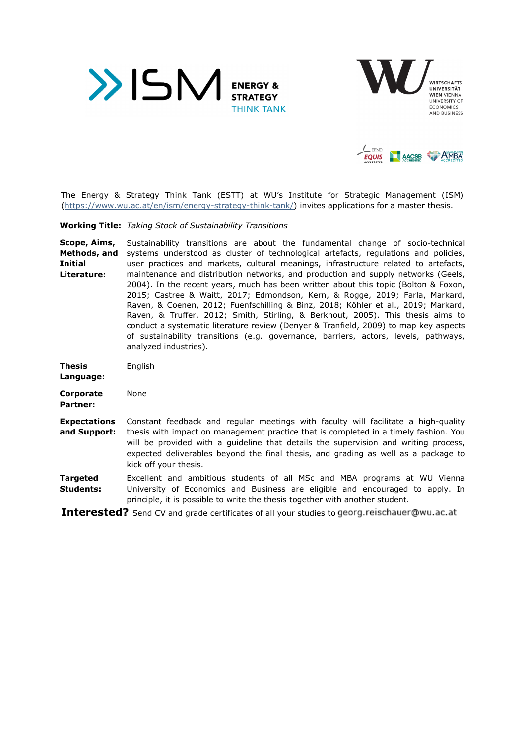





The Energy & Strategy Think Tank (ESTT) at WU's Institute for Strategic Management (ISM) (https://www.wu.ac.at/en/ism/energy-strategy-think-tank/) invites applications for a master thesis.

**Working Title:** *Taking Stock of Sustainability Transitions* 

**Scope, Aims, Methods, and Initial Literature:**  Sustainability transitions are about the fundamental change of socio-technical systems understood as cluster of technological artefacts, regulations and policies, user practices and markets, cultural meanings, infrastructure related to artefacts, maintenance and distribution networks, and production and supply networks (Geels, 2004). In the recent years, much has been written about this topic (Bolton & Foxon, 2015; Castree & Waitt, 2017; Edmondson, Kern, & Rogge, 2019; Farla, Markard, Raven, & Coenen, 2012; Fuenfschilling & Binz, 2018; Köhler et al., 2019; Markard, Raven, & Truffer, 2012; Smith, Stirling, & Berkhout, 2005). This thesis aims to conduct a systematic literature review (Denyer & Tranfield, 2009) to map key aspects of sustainability transitions (e.g. governance, barriers, actors, levels, pathways, analyzed industries).

| <b>Thesis</b><br>Language:          | English                                                                                                                                                                                                                                                                                                                                                 |
|-------------------------------------|---------------------------------------------------------------------------------------------------------------------------------------------------------------------------------------------------------------------------------------------------------------------------------------------------------------------------------------------------------|
| Corporate<br><b>Partner:</b>        | None                                                                                                                                                                                                                                                                                                                                                    |
| <b>Expectations</b><br>and Support: | Constant feedback and regular meetings with faculty will facilitate a high-quality<br>thesis with impact on management practice that is completed in a timely fashion. You<br>will be provided with a quideline that details the supervision and writing process,<br>expected deliverables beyond the final thesis, and grading as well as a package to |

with a guideline that details the supervision and writing process, ables beyond the final thesis, and grading as well as a package to kick off your thesis. **Targeted**  Excellent and ambitious students of all MSc and MBA programs at WU Vienna

**Students:**  University of Economics and Business are eligible and encouraged to apply. In principle, it is possible to write the thesis together with another student.

**Interested?** Send CV and grade certificates of all your studies to georg.reischauer@wu.ac.at